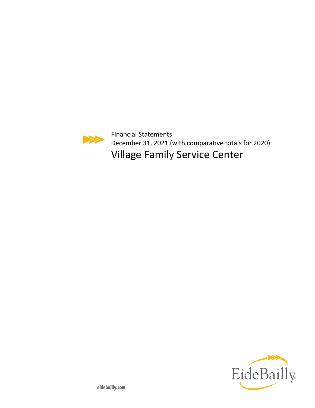Financial Statements December 31, 2021 (with comparative totals for 2020) Village Family Service Center

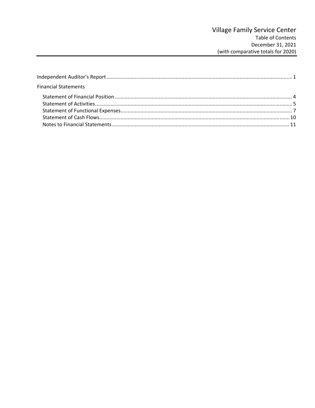| <b>Financial Statements</b> |  |
|-----------------------------|--|
|                             |  |
|                             |  |
|                             |  |
|                             |  |
|                             |  |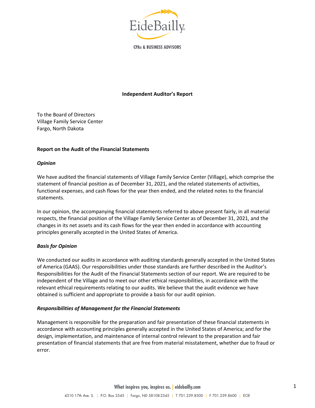

**CPAs & BUSINESS ADVISORS** 

#### **Independent Auditor's Report**

To the Board of Directors Village Family Service Center Fargo, North Dakota

#### **Report on the Audit of the Financial Statements**

#### *Opinion*

We have audited the financial statements of Village Family Service Center (Village), which comprise the statement of financial position as of December 31, 2021, and the related statements of activities, functional expenses, and cash flows for the year then ended, and the related notes to the financial statements.

In our opinion, the accompanying financial statements referred to above present fairly, in all material respects, the financial position of the Village Family Service Center as of December 31, 2021, and the changes in its net assets and its cash flows for the year then ended in accordance with accounting principles generally accepted in the United States of America.

#### *Basis for Opinion*

We conducted our audits in accordance with auditing standards generally accepted in the United States of America (GAAS). Our responsibilities under those standards are further described in the Auditor's Responsibilities for the Audit of the Financial Statements section of our report. We are required to be independent of the Village and to meet our other ethical responsibilities, in accordance with the relevant ethical requirements relating to our audits. We believe that the audit evidence we have obtained is sufficient and appropriate to provide a basis for our audit opinion.

#### *Responsibilities of Management for the Financial Statements*

Management is responsible for the preparation and fair presentation of these financial statements in accordance with accounting principles generally accepted in the United States of America; and for the design, implementation, and maintenance of internal control relevant to the preparation and fair presentation of financial statements that are free from material misstatement, whether due to fraud or error.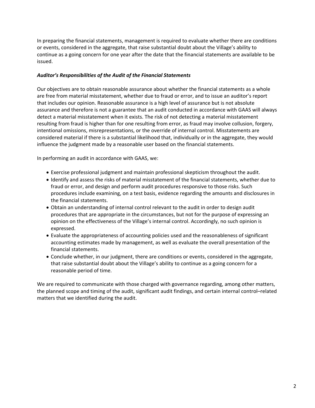In preparing the financial statements, management is required to evaluate whether there are conditions or events, considered in the aggregate, that raise substantial doubt about the Village's ability to continue as a going concern for one year after the date that the financial statements are available to be issued.

# *Auditor's Responsibilities of the Audit of the Financial Statements*

Our objectives are to obtain reasonable assurance about whether the financial statements as a whole are free from material misstatement, whether due to fraud or error, and to issue an auditor's report that includes our opinion. Reasonable assurance is a high level of assurance but is not absolute assurance and therefore is not a guarantee that an audit conducted in accordance with GAAS will always detect a material misstatement when it exists. The risk of not detecting a material misstatement resulting from fraud is higher than for one resulting from error, as fraud may involve collusion, forgery, intentional omissions, misrepresentations, or the override of internal control. Misstatements are considered material if there is a substantial likelihood that, individually or in the aggregate, they would influence the judgment made by a reasonable user based on the financial statements.

In performing an audit in accordance with GAAS, we:

- Exercise professional judgment and maintain professional skepticism throughout the audit.
- Identify and assess the risks of material misstatement of the financial statements, whether due to fraud or error, and design and perform audit procedures responsive to those risks. Such procedures include examining, on a test basis, evidence regarding the amounts and disclosures in the financial statements.
- Obtain an understanding of internal control relevant to the audit in order to design audit procedures that are appropriate in the circumstances, but not for the purpose of expressing an opinion on the effectiveness of the Village's internal control. Accordingly, no such opinion is expressed.
- Evaluate the appropriateness of accounting policies used and the reasonableness of significant accounting estimates made by management, as well as evaluate the overall presentation of the financial statements.
- Conclude whether, in our judgment, there are conditions or events, considered in the aggregate, that raise substantial doubt about the Village's ability to continue as a going concern for a reasonable period of time.

We are required to communicate with those charged with governance regarding, among other matters, the planned scope and timing of the audit, significant audit findings, and certain internal control–related matters that we identified during the audit.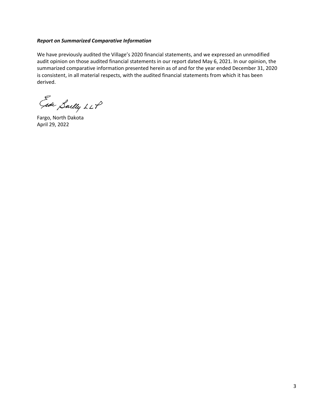#### *Report on Summarized Comparative Information*

We have previously audited the Village's 2020 financial statements, and we expressed an unmodified audit opinion on those audited financial statements in our report dated May 6, 2021. In our opinion, the summarized comparative information presented herein as of and for the year ended December 31, 2020 is consistent, in all material respects, with the audited financial statements from which it has been derived.

Gide Sailly LLP

Fargo, North Dakota April 29, 2022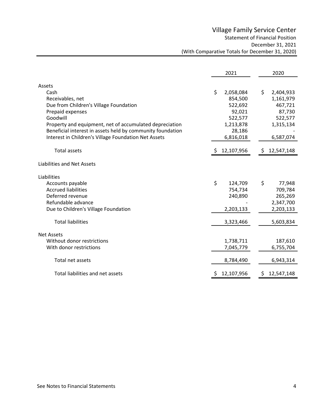# Village Family Service Center Statement of Financial Position December 31, 2021 (With Comparative Totals for December 31, 2020)

|                                                            | 2021             |    | 2020       |
|------------------------------------------------------------|------------------|----|------------|
|                                                            |                  |    |            |
| Assets                                                     |                  |    |            |
| Cash                                                       | \$<br>2,058,084  | \$ | 2,404,933  |
| Receivables, net                                           | 854,500          |    | 1,161,979  |
| Due from Children's Village Foundation                     | 522,692          |    | 467,721    |
| Prepaid expenses                                           | 92,021           |    | 87,730     |
| Goodwill                                                   | 522,577          |    | 522,577    |
| Property and equipment, net of accumulated depreciation    | 1,213,878        |    | 1,315,134  |
| Beneficial interest in assets held by community foundation | 28,186           |    |            |
| Interest in Children's Village Foundation Net Assets       | 6,816,018        |    | 6,587,074  |
| <b>Total assets</b>                                        | 12,107,956       | Ş  | 12,547,148 |
| Liabilities and Net Assets                                 |                  |    |            |
| Liabilities                                                |                  |    |            |
| Accounts payable                                           | \$<br>124,709    | \$ | 77,948     |
| <b>Accrued liabilities</b>                                 | 754,734          |    | 709,784    |
| Deferred revenue                                           | 240,890          |    | 265,269    |
| Refundable advance                                         |                  |    | 2,347,700  |
| Due to Children's Village Foundation                       | 2,203,133        |    | 2,203,133  |
| <b>Total liabilities</b>                                   | 3,323,466        |    | 5,603,834  |
| <b>Net Assets</b>                                          |                  |    |            |
| Without donor restrictions                                 | 1,738,711        |    | 187,610    |
| With donor restrictions                                    | 7,045,779        |    | 6,755,704  |
|                                                            |                  |    |            |
| Total net assets                                           | 8,784,490        |    | 6,943,314  |
| Total liabilities and net assets                           | \$<br>12,107,956 | \$ | 12,547,148 |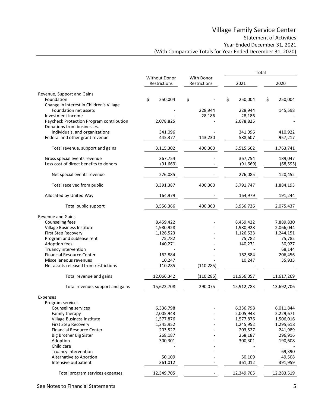# Village Family Service Center

Statement of Activities

Year Ended December 31, 2021

(With Comparative Totals for Year Ended December 31, 2020)

|                                          |                               |                            | Total         |               |  |  |
|------------------------------------------|-------------------------------|----------------------------|---------------|---------------|--|--|
|                                          | Without Donor<br>Restrictions | With Donor<br>Restrictions | 2021          | 2020          |  |  |
| Revenue, Support and Gains               |                               |                            |               |               |  |  |
| Foundation                               | \$<br>250,004                 | \$                         | \$<br>250,004 | \$<br>250,004 |  |  |
| Change in interest in Children's Village |                               |                            |               |               |  |  |
| Foundation net assets                    |                               | 228,944                    | 228,944       | 145,598       |  |  |
| Investment income                        |                               | 28,186                     | 28,186        |               |  |  |
| Paycheck Protection Program contribution | 2,078,825                     |                            | 2,078,825     |               |  |  |
| Donations from businesses,               |                               |                            |               |               |  |  |
| individuals, and organizations           | 341,096                       |                            | 341,096       | 410,922       |  |  |
| Federal and other grant revenue          | 445,377                       | 143,230                    | 588,607       | 957,217       |  |  |
| Total revenue, support and gains         | 3,115,302                     | 400,360                    | 3,515,662     | 1,763,741     |  |  |
| Gross special events revenue             | 367,754                       |                            | 367,754       | 189,047       |  |  |
| Less cost of direct benefits to donors   | (91, 669)                     |                            | (91, 669)     | (68, 595)     |  |  |
|                                          |                               |                            |               |               |  |  |
| Net special events revenue               | 276,085                       |                            | 276,085       | 120,452       |  |  |
| Total received from public               | 3,391,387                     | 400,360                    | 3,791,747     | 1,884,193     |  |  |
| Allocated by United Way                  | 164,979                       |                            | 164,979       | 191,244       |  |  |
| Total public support                     | 3,556,366                     | 400,360                    | 3,956,726     | 2,075,437     |  |  |
| <b>Revenue and Gains</b>                 |                               |                            |               |               |  |  |
| Counseling fees                          | 8,459,422                     |                            | 8,459,422     | 7,889,830     |  |  |
| Village Business Institute               | 1,980,928                     |                            | 1,980,928     | 2,066,044     |  |  |
| First Step Recovery                      | 1,126,523                     |                            | 1,126,523     | 1,244,151     |  |  |
| Program and sublease rent                | 75,782                        |                            | 75,782        | 75,782        |  |  |
| <b>Adoption fees</b>                     | 140,271                       |                            | 140,271       | 30,927        |  |  |
| Truancy intervention                     |                               |                            |               | 68,144        |  |  |
| <b>Financial Resource Center</b>         | 162,884                       |                            | 162,884       | 206,456       |  |  |
| Miscellaneous revenues                   | 10,247                        |                            | 10,247        | 35,935        |  |  |
| Net assets released from restrictions    | 110,285                       | (110, 285)                 |               |               |  |  |
| Total revenue and gains                  | 12,066,342                    | (110, 285)                 | 11,956,057    | 11,617,269    |  |  |
| Total revenue, support and gains         | 15,622,708                    | 290,075                    | 15,912,783    | 13,692,706    |  |  |
| Expenses                                 |                               |                            |               |               |  |  |
| Program services                         |                               |                            |               |               |  |  |
| Counseling services                      | 6,336,798                     |                            | 6,336,798     | 6,011,844     |  |  |
| Family therapy                           | 2,005,943                     |                            | 2,005,943     | 2,229,671     |  |  |
| Village Business Institute               | 1,577,876                     |                            | 1,577,876     | 1,506,016     |  |  |
| First Step Recovery                      | 1,245,952                     |                            | 1,245,952     | 1,295,618     |  |  |
| <b>Financial Resource Center</b>         | 203,527                       |                            | 203,527       | 241,989       |  |  |
| Big Brother Big Sister                   | 268,187                       |                            | 268,187       | 296,916       |  |  |
| Adoption                                 | 300,301                       |                            | 300,301       | 190,608       |  |  |
| Child care                               |                               |                            |               |               |  |  |
| Truancy intervention                     |                               |                            |               | 69,390        |  |  |
| Alternative to Abortion                  | 50,109                        |                            | 50,109        | 49,508        |  |  |
| Intensive outpatient                     | 361,012                       |                            | 361,012       | 391,959       |  |  |
| Total program services expenses          | 12,349,705                    |                            | 12,349,705    | 12,283,519    |  |  |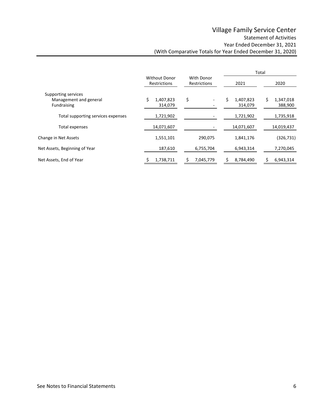# Village Family Service Center Statement of Activities Year Ended December 31, 2021 (With Comparative Totals for Year Ended December 31, 2020)

|                                                              |                                      |                            |                            | Total                      |
|--------------------------------------------------------------|--------------------------------------|----------------------------|----------------------------|----------------------------|
|                                                              | <b>Without Donor</b><br>Restrictions | With Donor<br>Restrictions | 2021                       | 2020                       |
| Supporting services<br>Management and general<br>Fundraising | Ś<br>1,407,823<br>314,079            | \$                         | \$<br>1,407,823<br>314,079 | Ś.<br>1,347,018<br>388,900 |
| Total supporting services expenses                           | 1,721,902                            |                            | 1,721,902                  | 1,735,918                  |
| Total expenses                                               | 14,071,607                           |                            | 14,071,607                 | 14,019,437                 |
| Change in Net Assets                                         | 1,551,101                            | 290,075                    | 1,841,176                  | (326, 731)                 |
| Net Assets, Beginning of Year                                | 187,610                              | 6,755,704                  | 6,943,314                  | 7,270,045                  |
| Net Assets, End of Year                                      | 1,738,711                            | 7,045,779                  | 8,784,490                  | 6,943,314                  |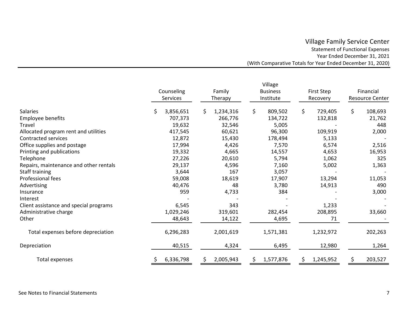# Village Family Service Center Statement of Functional Expenses Year Ended December 31, 2021 (With Comparative Totals for Year Ended December 31, 2020)

|                                        | Counseling<br><b>Services</b> | Family<br>Therapy | Village<br><b>Business</b><br>Institute | First Step<br>Recovery | Financial<br><b>Resource Center</b> |  |
|----------------------------------------|-------------------------------|-------------------|-----------------------------------------|------------------------|-------------------------------------|--|
| <b>Salaries</b>                        | \$<br>3,856,651               | Ŝ.<br>1,234,316   | \$<br>809,502                           | \$<br>729,405          | \$<br>108,693                       |  |
| Employee benefits                      | 707,373                       | 266,776           | 134,722                                 | 132,818                | 21,762                              |  |
| Travel                                 | 19,632                        | 32,546            | 5,005                                   |                        | 448                                 |  |
| Allocated program rent and utilities   | 417,545                       | 60,621            | 96,300                                  | 109,919                | 2,000                               |  |
| <b>Contracted services</b>             | 12,872                        | 15,430            | 178,494                                 | 5,133                  |                                     |  |
| Office supplies and postage            | 17,994                        | 4,426             | 7,570                                   | 6,574                  | 2,516                               |  |
| Printing and publications              | 19,332                        | 4,665             | 14,557                                  | 4,653                  | 16,953                              |  |
| Telephone                              | 27,226                        | 20,610            | 5,794                                   | 1,062                  | 325                                 |  |
| Repairs, maintenance and other rentals | 29,137                        | 4,596             | 7,160                                   | 5,002                  | 1,363                               |  |
| Staff training                         | 3,644                         | 167               | 3,057                                   |                        |                                     |  |
| Professional fees                      | 59,008                        | 18,619            | 17,907                                  | 13,294                 | 11,053                              |  |
| Advertising                            | 40,476                        | 48                | 3,780                                   | 14,913                 | 490                                 |  |
| Insurance                              | 959                           | 4,733             | 384                                     |                        | 3,000                               |  |
| Interest                               |                               |                   |                                         |                        |                                     |  |
| Client assistance and special programs | 6,545                         | 343               |                                         | 1,233                  |                                     |  |
| Administrative charge                  | 1,029,246                     | 319,601           | 282,454                                 | 208,895                | 33,660                              |  |
| Other                                  | 48,643                        | 14,122            | 4,695                                   | 71                     |                                     |  |
| Total expenses before depreciation     | 6,296,283                     | 2,001,619         | 1,571,381                               | 1,232,972              | 202,263                             |  |
| Depreciation                           | 40,515                        | 4,324             | 6,495                                   | 12,980                 | 1,264                               |  |
| Total expenses                         | 6,336,798                     | 2,005,943         | 1,577,876<br>\$                         | 1,245,952<br>\$        | 203,527                             |  |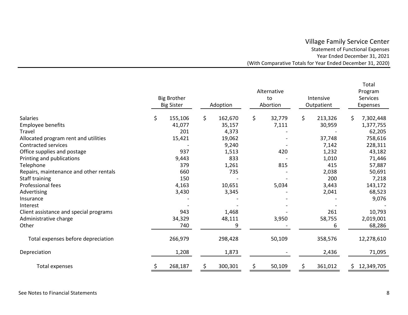# Village Family Service Center Statement of Functional Expenses

Year Ended December 31, 2021 (With Comparative Totals for Year Ended December 31, 2020)

|                                        |                    |               |              |               | Total            |
|----------------------------------------|--------------------|---------------|--------------|---------------|------------------|
|                                        |                    |               | Alternative  |               | Program          |
|                                        | <b>Big Brother</b> |               | to           | Intensive     | <b>Services</b>  |
|                                        | <b>Big Sister</b>  | Adoption      | Abortion     | Outpatient    | <b>Expenses</b>  |
| <b>Salaries</b>                        | \$<br>155,106      | \$<br>162,670 | \$<br>32,779 | \$<br>213,326 | \$<br>7,302,448  |
| Employee benefits                      | 41,077             | 35,157        | 7,111        | 30,959        | 1,377,755        |
| Travel                                 | 201                | 4,373         |              |               | 62,205           |
| Allocated program rent and utilities   | 15,421             | 19,062        |              | 37,748        | 758,616          |
| <b>Contracted services</b>             |                    | 9,240         |              | 7,142         | 228,311          |
| Office supplies and postage            | 937                | 1,513         | 420          | 1,232         | 43,182           |
| Printing and publications              | 9,443              | 833           |              | 1,010         | 71,446           |
| Telephone                              | 379                | 1,261         | 815          | 415           | 57,887           |
| Repairs, maintenance and other rentals | 660                | 735           |              | 2,038         | 50,691           |
| Staff training                         | 150                |               |              | 200           | 7,218            |
| Professional fees                      | 4,163              | 10,651        | 5,034        | 3,443         | 143,172          |
| Advertising                            | 3,430              | 3,345         |              | 2,041         | 68,523           |
| Insurance                              |                    |               |              |               | 9,076            |
| Interest                               |                    |               |              |               |                  |
| Client assistance and special programs | 943                | 1,468         |              | 261           | 10,793           |
| Administrative charge                  | 34,329             | 48,111        | 3,950        | 58,755        | 2,019,001        |
| Other                                  | 740                | 9             |              | 6             | 68,286           |
| Total expenses before depreciation     | 266,979            | 298,428       | 50,109       | 358,576       | 12,278,610       |
| Depreciation                           | 1,208              | 1,873         |              | 2,436         | 71,095           |
| Total expenses                         | 268,187            | 300,301       | 50,109       | 361,012       | 12,349,705<br>\$ |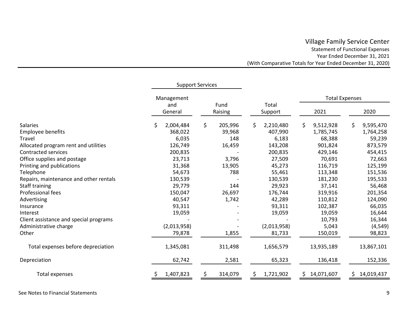# Village Family Service Center

Statement of Functional Expenses Year Ended December 31, 2021

(With Comparative Totals for Year Ended December 31, 2020)

|                                                                                                                                                                                                      | <b>Support Services</b>                                                                 |                                                                    |                                                                                         |                                                                                              |                                                                                              |
|------------------------------------------------------------------------------------------------------------------------------------------------------------------------------------------------------|-----------------------------------------------------------------------------------------|--------------------------------------------------------------------|-----------------------------------------------------------------------------------------|----------------------------------------------------------------------------------------------|----------------------------------------------------------------------------------------------|
|                                                                                                                                                                                                      | Management<br>and<br>General                                                            | Fund<br>Raising                                                    | Total<br>Support                                                                        | <b>Total Expenses</b><br>2021                                                                | 2020                                                                                         |
| <b>Salaries</b><br><b>Employee benefits</b><br>Travel<br>Allocated program rent and utilities<br><b>Contracted services</b><br>Office supplies and postage<br>Printing and publications<br>Telephone | \$<br>2,004,484<br>368,022<br>6,035<br>126,749<br>200,835<br>23,713<br>31,368<br>54,673 | \$<br>205,996<br>39,968<br>148<br>16,459<br>3,796<br>13,905<br>788 | \$<br>2,210,480<br>407,990<br>6,183<br>143,208<br>200,835<br>27,509<br>45,273<br>55,461 | \$<br>9,512,928<br>1,785,745<br>68,388<br>901,824<br>429,146<br>70,691<br>116,719<br>113,348 | \$<br>9,595,470<br>1,764,258<br>59,239<br>873,579<br>454,415<br>72,663<br>125,199<br>151,536 |
| Repairs, maintenance and other rentals<br>Staff training<br>Professional fees<br>Advertising<br>Insurance<br>Interest<br>Client assistance and special programs<br>Administrative charge<br>Other    | 130,539<br>29,779<br>150,047<br>40,547<br>93,311<br>19,059<br>(2,013,958)<br>79,878     | 144<br>26,697<br>1,742<br>1,855                                    | 130,539<br>29,923<br>176,744<br>42,289<br>93,311<br>19,059<br>(2,013,958)<br>81,733     | 181,230<br>37,141<br>319,916<br>110,812<br>102,387<br>19,059<br>10,793<br>5,043<br>150,019   | 195,533<br>56,468<br>201,354<br>124,090<br>66,035<br>16,644<br>16,344<br>(4, 549)<br>98,823  |
| Total expenses before depreciation<br>Depreciation<br>Total expenses                                                                                                                                 | 1,345,081<br>62,742<br>1,407,823                                                        | 311,498<br>2,581<br>314,079                                        | 1,656,579<br>65,323<br>1,721,902<br>S                                                   | 13,935,189<br>136,418<br>14,071,607<br>\$                                                    | 13,867,101<br>152,336<br>14,019,437<br>S                                                     |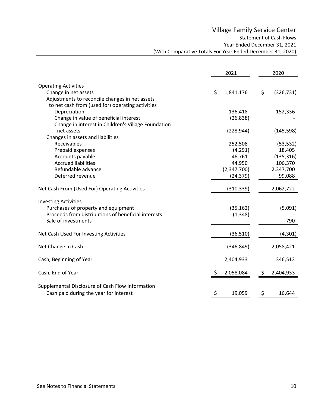|                                                                                                                                                                   | 2021 |                                    | 2020                              |
|-------------------------------------------------------------------------------------------------------------------------------------------------------------------|------|------------------------------------|-----------------------------------|
| <b>Operating Activities</b><br>Change in net assets<br>Adjustments to reconcile changes in net assets                                                             | \$   | 1,841,176                          | \$<br>(326, 731)                  |
| to net cash from (used for) operating activities<br>Depreciation<br>Change in value of beneficial interest<br>Change in interest in Children's Village Foundation |      | 136,418<br>(26, 838)               | 152,336                           |
| net assets<br>Changes in assets and liabilities                                                                                                                   |      | (228, 944)                         | (145, 598)                        |
| Receivables<br>Prepaid expenses<br>Accounts payable                                                                                                               |      | 252,508<br>(4, 291)<br>46,761      | (53, 532)<br>18,405<br>(135, 316) |
| <b>Accrued liabilities</b><br>Refundable advance<br>Deferred revenue                                                                                              |      | 44,950<br>(2,347,700)<br>(24, 379) | 106,370<br>2,347,700<br>99,088    |
| Net Cash From (Used For) Operating Activities                                                                                                                     |      | (310, 339)                         | 2,062,722                         |
| <b>Investing Activities</b><br>Purchases of property and equipment<br>Proceeds from distributions of beneficial interests<br>Sale of investments                  |      | (35, 162)<br>(1, 348)              | (5,091)<br>790                    |
| Net Cash Used For Investing Activities                                                                                                                            |      | (36, 510)                          | (4, 301)                          |
| Net Change in Cash                                                                                                                                                |      | (346, 849)                         | 2,058,421                         |
| Cash, Beginning of Year                                                                                                                                           |      | 2,404,933                          | 346,512                           |
| Cash, End of Year                                                                                                                                                 | -S   | 2,058,084                          | \$<br>2,404,933                   |
| Supplemental Disclosure of Cash Flow Information<br>Cash paid during the year for interest                                                                        | \$   | 19,059                             | 16,644                            |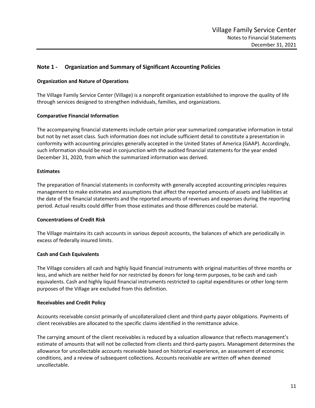# **Note 1 ‐ Organization and Summary of Significant Accounting Policies**

#### **Organization and Nature of Operations**

The Village Family Service Center (Village) is a nonprofit organization established to improve the quality of life through services designed to strengthen individuals, families, and organizations.

#### **Comparative Financial Information**

The accompanying financial statements include certain prior year summarized comparative information in total but not by net asset class. Such information does not include sufficient detail to constitute a presentation in conformity with accounting principles generally accepted in the United States of America (GAAP). Accordingly, such information should be read in conjunction with the audited financial statements for the year ended December 31, 2020, from which the summarized information was derived.

#### **Estimates**

The preparation of financial statements in conformity with generally accepted accounting principles requires management to make estimates and assumptions that affect the reported amounts of assets and liabilities at the date of the financial statements and the reported amounts of revenues and expenses during the reporting period. Actual results could differ from those estimates and those differences could be material.

#### **Concentrations of Credit Risk**

The Village maintains its cash accounts in various deposit accounts, the balances of which are periodically in excess of federally insured limits.

#### **Cash and Cash Equivalents**

The Village considers all cash and highly liquid financial instruments with original maturities of three months or less, and which are neither held for nor restricted by donors for long-term purposes, to be cash and cash equivalents. Cash and highly liquid financial instruments restricted to capital expenditures or other long‐term purposes of the Village are excluded from this definition.

#### **Receivables and Credit Policy**

Accounts receivable consist primarily of uncollateralized client and third‐party payor obligations. Payments of client receivables are allocated to the specific claims identified in the remittance advice.

The carrying amount of the client receivables is reduced by a valuation allowance that reflects management's estimate of amounts that will not be collected from clients and third‐party payors. Management determines the allowance for uncollectable accounts receivable based on historical experience, an assessment of economic conditions, and a review of subsequent collections. Accounts receivable are written off when deemed uncollectable.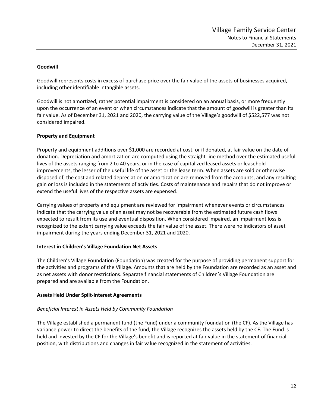## **Goodwill**

Goodwill represents costs in excess of purchase price over the fair value of the assets of businesses acquired, including other identifiable intangible assets.

Goodwill is not amortized, rather potential impairment is considered on an annual basis, or more frequently upon the occurrence of an event or when circumstances indicate that the amount of goodwill is greater than its fair value. As of December 31, 2021 and 2020, the carrying value of the Village's goodwill of \$522,577 was not considered impaired.

## **Property and Equipment**

Property and equipment additions over \$1,000 are recorded at cost, or if donated, at fair value on the date of donation. Depreciation and amortization are computed using the straight‐line method over the estimated useful lives of the assets ranging from 2 to 40 years, or in the case of capitalized leased assets or leasehold improvements, the lesser of the useful life of the asset or the lease term. When assets are sold or otherwise disposed of, the cost and related depreciation or amortization are removed from the accounts, and any resulting gain or loss is included in the statements of activities. Costs of maintenance and repairs that do not improve or extend the useful lives of the respective assets are expensed.

Carrying values of property and equipment are reviewed for impairment whenever events or circumstances indicate that the carrying value of an asset may not be recoverable from the estimated future cash flows expected to result from its use and eventual disposition. When considered impaired, an impairment loss is recognized to the extent carrying value exceeds the fair value of the asset. There were no indicators of asset impairment during the years ending December 31, 2021 and 2020.

#### **Interest in Children's Village Foundation Net Assets**

The Children's Village Foundation (Foundation) was created for the purpose of providing permanent support for the activities and programs of the Village. Amounts that are held by the Foundation are recorded as an asset and as net assets with donor restrictions. Separate financial statements of Children's Village Foundation are prepared and are available from the Foundation.

#### **Assets Held Under Split‐Interest Agreements**

#### *Beneficial Interest in Assets Held by Community Foundation*

The Village established a permanent fund (the Fund) under a community foundation (the CF). As the Village has variance power to direct the benefits of the fund, the Village recognizes the assets held by the CF. The Fund is held and invested by the CF for the Village's benefit and is reported at fair value in the statement of financial position, with distributions and changes in fair value recognized in the statement of activities.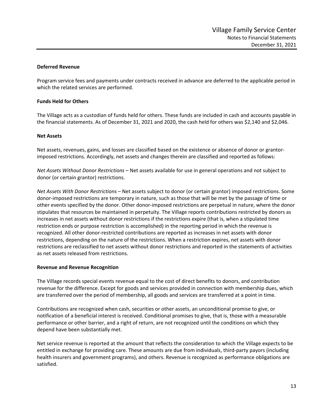#### **Deferred Revenue**

Program service fees and payments under contracts received in advance are deferred to the applicable period in which the related services are performed.

#### **Funds Held for Others**

The Village acts as a custodian of funds held for others. These funds are included in cash and accounts payable in the financial statements. As of December 31, 2021 and 2020, the cash held for others was \$2,140 and \$2,046.

#### **Net Assets**

Net assets, revenues, gains, and losses are classified based on the existence or absence of donor or grantor‐ imposed restrictions. Accordingly, net assets and changes therein are classified and reported as follows:

*Net Assets Without Donor Restrictions* – Net assets available for use in general operations and not subject to donor (or certain grantor) restrictions.

*Net Assets With Donor Restrictions* – Net assets subject to donor (or certain grantor) imposed restrictions. Some donor‐imposed restrictions are temporary in nature, such as those that will be met by the passage of time or other events specified by the donor. Other donor‐imposed restrictions are perpetual in nature, where the donor stipulates that resources be maintained in perpetuity. The Village reports contributions restricted by donors as increases in net assets without donor restrictions if the restrictions expire (that is, when a stipulated time restriction ends or purpose restriction is accomplished) in the reporting period in which the revenue is recognized. All other donor-restricted contributions are reported as increases in net assets with donor restrictions, depending on the nature of the restrictions. When a restriction expires, net assets with donor restrictions are reclassified to net assets without donor restrictions and reported in the statements of activities as net assets released from restrictions.

#### **Revenue and Revenue Recognition**

The Village records special events revenue equal to the cost of direct benefits to donors, and contribution revenue for the difference. Except for goods and services provided in connection with membership dues, which are transferred over the period of membership, all goods and services are transferred at a point in time.

Contributions are recognized when cash, securities or other assets, an unconditional promise to give, or notification of a beneficial interest is received. Conditional promises to give, that is, those with a measurable performance or other barrier, and a right of return, are not recognized until the conditions on which they depend have been substantially met.

Net service revenue is reported at the amount that reflects the consideration to which the Village expects to be entitled in exchange for providing care. These amounts are due from individuals, third‐party payors (including health insurers and government programs), and others. Revenue is recognized as performance obligations are satisfied.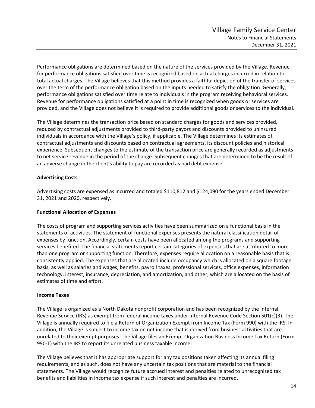Performance obligations are determined based on the nature of the services provided by the Village. Revenue for performance obligations satisfied over time is recognized based on actual charges incurred in relation to total actual charges. The Village believes that this method provides a faithful depiction of the transfer of services over the term of the performance obligation based on the inputs needed to satisfy the obligation. Generally, performance obligations satisfied over time relate to individuals in the program receiving behavioral services. Revenue for performance obligations satisfied at a point in time is recognized when goods or services are provided, and the Village does not believe it is required to provide additional goods or services to the individual.

The Village determines the transaction price based on standard charges for goods and services provided, reduced by contractual adjustments provided to third‐party payors and discounts provided to uninsured individuals in accordance with the Village's policy, if applicable. The Village determines its estimates of contractual adjustments and discounts based on contractual agreements, its discount policies and historical experience. Subsequent changes to the estimate of the transaction price are generally recorded as adjustments to net service revenue in the period of the change. Subsequent changes that are determined to be the result of an adverse change in the client's ability to pay are recorded as bad debt expense.

# **Advertising Costs**

Advertising costs are expensed as incurred and totaled \$110,812 and \$124,090 for the years ended December 31, 2021 and 2020, respectively.

# **Functional Allocation of Expenses**

The costs of program and supporting services activities have been summarized on a functional basis in the statements of activities. The statement of functional expenses presents the natural classification detail of expenses by function. Accordingly, certain costs have been allocated among the programs and supporting services benefited. The financial statements report certain categories of expenses that are attributed to more than one program or supporting function. Therefore, expenses require allocation on a reasonable basis that is consistently applied. The expenses that are allocated include occupancy which is allocated on a square footage basis, as well as salaries and wages, benefits, payroll taxes, professional services, office expenses, information technology, interest, insurance, depreciation, and amortization, and other, which are allocated on the basis of estimates of time and effort.

# **Income Taxes**

The Village is organized as a North Dakota nonprofit corporation and has been recognized by the Internal Revenue Service (IRS) as exempt from federal income taxes under Internal Revenue Code Section 501(c)(3). The Village is annually required to file a Return of Organization Exempt from Income Tax (Form 990) with the IRS. In addition, the Village is subject to income tax on net income that is derived from business activities that are unrelated to their exempt purposes. The Village files an Exempt Organization Business Income Tax Return (Form 990-T) with the IRS to report its unrelated business taxable income.

The Village believes that it has appropriate support for any tax positions taken affecting its annual filing requirements, and as such, does not have any uncertain tax positions that are material to the financial statements. The Village would recognize future accrued interest and penalties related to unrecognized tax benefits and liabilities in income tax expense if such interest and penalties are incurred.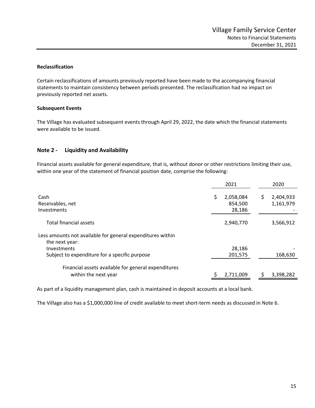### **Reclassification**

Certain reclassifications of amounts previously reported have been made to the accompanying financial statements to maintain consistency between periods presented. The reclassification had no impact on previously reported net assets.

## **Subsequent Events**

The Village has evaluated subsequent events through April 29, 2022, the date which the financial statements were available to be issued.

# **Note 2 ‐ Liquidity and Availability**

Financial assets available for general expenditure, that is, without donor or other restrictions limiting their use, within one year of the statement of financial position date, comprise the following:

|                                                                              | 2021                           | 2020                         |
|------------------------------------------------------------------------------|--------------------------------|------------------------------|
| Cash<br>Receivables, net<br>Investments                                      | 2,058,084<br>854,500<br>28,186 | \$<br>2,404,933<br>1,161,979 |
| Total financial assets                                                       | 2,940,770                      | 3,566,912                    |
| Less amounts not available for general expenditures within<br>the next year: |                                |                              |
| Investments<br>Subject to expenditure for a specific purpose                 | 28,186<br>201,575              | 168,630                      |
| Financial assets available for general expenditures<br>within the next year  | 2,711,009                      | 3,398,282                    |

As part of a liquidity management plan, cash is maintained in deposit accounts at a local bank.

The Village also has a \$1,000,000 line of credit available to meet short‐term needs as discussed in Note 6.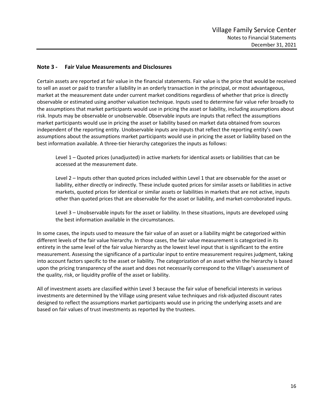# **Note 3 ‐ Fair Value Measurements and Disclosures**

Certain assets are reported at fair value in the financial statements. Fair value is the price that would be received to sell an asset or paid to transfer a liability in an orderly transaction in the principal, or most advantageous, market at the measurement date under current market conditions regardless of whether that price is directly observable or estimated using another valuation technique. Inputs used to determine fair value refer broadly to the assumptions that market participants would use in pricing the asset or liability, including assumptions about risk. Inputs may be observable or unobservable. Observable inputs are inputs that reflect the assumptions market participants would use in pricing the asset or liability based on market data obtained from sources independent of the reporting entity. Unobservable inputs are inputs that reflect the reporting entity's own assumptions about the assumptions market participants would use in pricing the asset or liability based on the best information available. A three-tier hierarchy categorizes the inputs as follows:

Level 1 – Quoted prices (unadjusted) in active markets for identical assets or liabilities that can be accessed at the measurement date.

Level 2 – Inputs other than quoted prices included within Level 1 that are observable for the asset or liability, either directly or indirectly. These include quoted prices for similar assets or liabilities in active markets, quoted prices for identical or similar assets or liabilities in markets that are not active, inputs other than quoted prices that are observable for the asset or liability, and market‐corroborated inputs.

Level 3 – Unobservable inputs for the asset or liability. In these situations, inputs are developed using the best information available in the circumstances.

In some cases, the inputs used to measure the fair value of an asset or a liability might be categorized within different levels of the fair value hierarchy. In those cases, the fair value measurement is categorized in its entirety in the same level of the fair value hierarchy as the lowest level input that is significant to the entire measurement. Assessing the significance of a particular input to entire measurement requires judgment, taking into account factors specific to the asset or liability. The categorization of an asset within the hierarchy is based upon the pricing transparency of the asset and does not necessarily correspond to the Village's assessment of the quality, risk, or liquidity profile of the asset or liability.

All of investment assets are classified within Level 3 because the fair value of beneficial interests in various investments are determined by the Village using present value techniques and risk‐adjusted discount rates designed to reflect the assumptions market participants would use in pricing the underlying assets and are based on fair values of trust investments as reported by the trustees.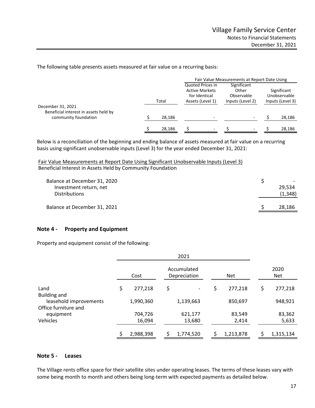The following table presents assets measured at fair value on a recurring basis:

|                                                          |  |        | Fair Value Measurements at Report Date Using |                  |  |                  |  |
|----------------------------------------------------------|--|--------|----------------------------------------------|------------------|--|------------------|--|
|                                                          |  |        | Quoted Prices in                             | Significant      |  |                  |  |
|                                                          |  |        | <b>Active Markets</b>                        | Other            |  | Significant      |  |
| for Identical<br>Observable<br>Assets (Level 1)<br>Total |  |        |                                              | Unobservable     |  |                  |  |
|                                                          |  |        |                                              | Inputs (Level 2) |  | Inputs (Level 3) |  |
| December 31, 2021                                        |  |        |                                              |                  |  |                  |  |
| Beneficial interest in assets held by                    |  |        |                                              |                  |  |                  |  |
| community foundation                                     |  | 28,186 |                                              |                  |  | 28,186           |  |
|                                                          |  |        |                                              |                  |  |                  |  |
|                                                          |  | 28,186 | $\overline{\phantom{a}}$                     |                  |  | 28,186           |  |

Below is a reconciliation of the beginning and ending balance of assets measured at fair value on a recurring basis using significant unobservable inputs (Level 3) for the year ended December 31, 2021:

Fair Value Measurements at Report Date Using Significant Unobservable Inputs (Level 3) Beneficial Interest in Assets Held by Community Foundation

| Balance at December 31, 2020<br>Investment return, net<br><b>Distributions</b> | $\overline{\phantom{0}}$<br>29.534<br>(1, 348) |
|--------------------------------------------------------------------------------|------------------------------------------------|
| Balance at December 31, 2021                                                   | 28,186                                         |

### **Note 4 ‐ Property and Equipment**

Property and equipment consist of the following:

|                                                |    | 2021                                |    |           |     |           |    |             |  |
|------------------------------------------------|----|-------------------------------------|----|-----------|-----|-----------|----|-------------|--|
|                                                |    | Accumulated<br>Depreciation<br>Cost |    |           | Net |           |    | 2020<br>Net |  |
| Land<br><b>Building and</b>                    | \$ | 277,218                             | \$ |           | \$  | 277,218   | \$ | 277,218     |  |
| leasehold improvements<br>Office furniture and |    | 1,990,360                           |    | 1,139,663 |     | 850,697   |    | 948,921     |  |
| equipment                                      |    | 704,726                             |    | 621,177   |     | 83,549    |    | 83,362      |  |
| Vehicles                                       |    | 16,094                              |    | 13,680    |     | 2,414     |    | 5,633       |  |
|                                                |    | 2,988,398                           |    | 1,774,520 |     | 1,213,878 |    | 1,315,134   |  |

#### **Note 5 ‐ Leases**

The Village rents office space for their satellite sites under operating leases. The terms of these leases vary with some being month to month and others being long-term with expected payments as detailed below.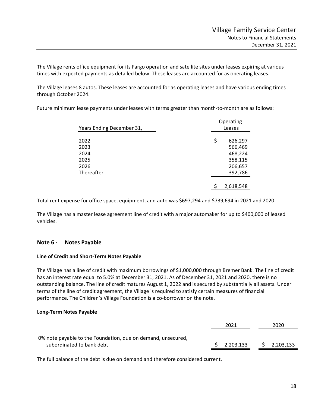The Village rents office equipment for its Fargo operation and satellite sites under leases expiring at various times with expected payments as detailed below. These leases are accounted for as operating leases.

The Village leases 8 autos. These leases are accounted for as operating leases and have various ending times through October 2024.

Future minimum lease payments under leases with terms greater than month-to-month are as follows:

| Years Ending December 31,                          | Operating<br>Leases |                                                                |  |
|----------------------------------------------------|---------------------|----------------------------------------------------------------|--|
| 2022<br>2023<br>2024<br>2025<br>2026<br>Thereafter | \$                  | 626,297<br>566,469<br>468,224<br>358,115<br>206,657<br>392,786 |  |
|                                                    | \$                  | 2,618,548                                                      |  |

Total rent expense for office space, equipment, and auto was \$697,294 and \$739,694 in 2021 and 2020.

The Village has a master lease agreement line of credit with a major automaker for up to \$400,000 of leased vehicles.

#### **Note 6 ‐ Notes Payable**

#### **Line of Credit and Short‐Term Notes Payable**

The Village has a line of credit with maximum borrowings of \$1,000,000 through Bremer Bank. The line of credit has an interest rate equal to 5.0% at December 31, 2021. As of December 31, 2021 and 2020, there is no outstanding balance. The line of credit matures August 1, 2022 and is secured by substantially all assets. Under terms of the line of credit agreement, the Village is required to satisfy certain measures of financial performance. The Children's Village Foundation is a co-borrower on the note.

#### **Long‐Term Notes Payable**

|                                                                                           | 2021                        | 2020      |
|-------------------------------------------------------------------------------------------|-----------------------------|-----------|
| 0% note payable to the Foundation, due on demand, unsecured,<br>subordinated to bank debt | $\frac{1}{2}$ , 2, 203, 133 | 2,203,133 |

The full balance of the debt is due on demand and therefore considered current.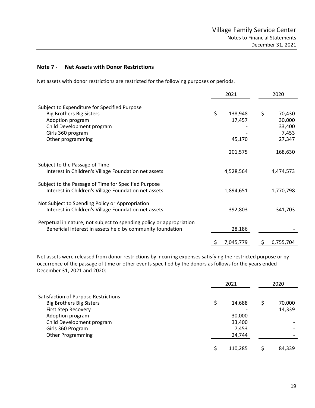### **Note 7 ‐ Net Assets with Donor Restrictions**

Net assets with donor restrictions are restricted for the following purposes or periods.

|                                                                                                                                                                            | 2021                              | 2020                                                |
|----------------------------------------------------------------------------------------------------------------------------------------------------------------------------|-----------------------------------|-----------------------------------------------------|
| Subject to Expenditure for Specified Purpose<br><b>Big Brothers Big Sisters</b><br>Adoption program<br>Child Development program<br>Girls 360 program<br>Other programming | \$<br>138,948<br>17,457<br>45,170 | \$<br>70,430<br>30,000<br>33,400<br>7,453<br>27,347 |
|                                                                                                                                                                            | 201,575                           | 168,630                                             |
| Subject to the Passage of Time<br>Interest in Children's Village Foundation net assets                                                                                     | 4,528,564                         | 4,474,573                                           |
| Subject to the Passage of Time for Specified Purpose<br>Interest in Children's Village Foundation net assets                                                               | 1,894,651                         | 1,770,798                                           |
| Not Subject to Spending Policy or Appropriation<br>Interest in Children's Village Foundation net assets                                                                    | 392,803                           | 341,703                                             |
| Perpetual in nature, not subject to spending policy or appropriation<br>Beneficial interest in assets held by community foundation                                         | 28,186                            |                                                     |
|                                                                                                                                                                            | 7,045,779                         | 6,755,704                                           |

Net assets were released from donor restrictions by incurring expenses satisfying the restricted purpose or by occurrence of the passage of time or other events specified by the donors as follows for the years ended December 31, 2021 and 2020:

|                                      | 2021    | 2020   |
|--------------------------------------|---------|--------|
| Satisfaction of Purpose Restrictions |         |        |
| <b>Big Brothers Big Sisters</b>      | 14,688  | 70,000 |
| <b>First Step Recovery</b>           |         | 14,339 |
| Adoption program                     | 30,000  |        |
| Child Development program            | 33,400  |        |
| Girls 360 Program                    | 7,453   |        |
| <b>Other Programming</b>             | 24,744  |        |
|                                      | 110,285 | 84,339 |